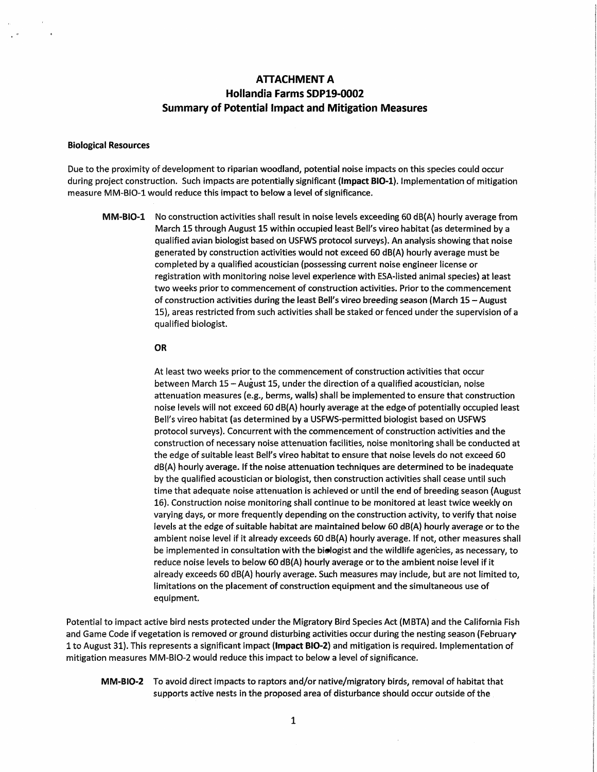# **ATTACHMENT A Hollandia Farms SDP19-0002 Summary of Potential Impact and Mitigation Measures**

## **Biological Resources**

Due to the proximity of development to riparian woodland, potential noise impacts on this species could occur during project construction. Such impacts are potentially significant **{Impact BI0-1).** Implementation of mitigation measure MM-BIO-1 would reduce this impact to below a level of significance.

**MM-BIO-1** No construction activities shall result in noise levels exceeding 60 dB(A) hourly average from March 15 through August 15 within occupied least Bell's vireo habitat (as determined by a qualified avian biologist based on USFWS protocol surveys). An analysis showing that noise generated by construction activities would not exceed 60 dB(A) hourly average must be completed by a qualified acoustician (possessing current noise engineer license or registration with monitoring noise level experience with ESA-listed animal species) at least two weeks prior to commencement of construction activities. Prior to the commencement of construction activities during the least Bell's vireo breeding season (March 15-August 15), areas restricted from such activities shall be staked or fenced under the supervision of a qualified biologist.

#### **OR**

At least two weeks prior to the commencement of construction activities that occur between March 15 -August 15, under the direction of a qualified acoustician, noise attenuation measures (e.g., berms, walls) shall be implemented to ensure that construction noise levels will not exceed 60 dB(A) hourly average at the edge-of potentially occupied least Bell's vireo habitat (as determined by a USFWS-permitted biologist based on USFWS protocol surveys). Concurrent with the commencement of construction activities and the construction of necessary noise attenuation facilities, noise monitoring shall be conducted at the edge of suitable least Bell's vireo habitat to ensure that noise levels do not exceed 60 dB(A) hourly average. If the noise attenuation techniques are determined to be inadequate by the qualified acoustician or biologist, then construction activities shall cease until such time that adequate noise attenuation is achieved or until the end of breeding season (August 16). Construction noise monitoring shall continue to be monitored at least twice weekly on varying days, or more frequently depending on the construction activity, to verify that noise levels at the edge of suitable habitat are maintained below 60 dB(A} hourly average or to the ambient noise level if it already exceeds 60 dB(A} hourly average. If not, other measures shall be implemented in consultation with the **bislogist** and the wildlife agencies, as necessary, to reduce noise levels to below 60 dB(A) hourly average or to the ambient noise level if it already exceeds 60 dB(A) hourly average. Such measures may include, but are not limited to, limitations on the placement of construction equipment and the simultaneous use of equipment.

Potential to impact active bird nests protected under the Migratory Bird Species Act (MBTA) and the California Fish and Game Code if vegetation is removed or ground disturbing activities occur during the nesting season (February 1 to August 31). This represents a significant impact **(Impact B10-2)** and mitigation is required. Implementation of mitigation measures MM-8IO-2 would reduce this impact to below a level of significance.

**MM-B10-2** To avoid direct impacts to raptors and/or native/migratory birds, removal of habitat that supports active nests in the proposed area of disturbance should occur outside of the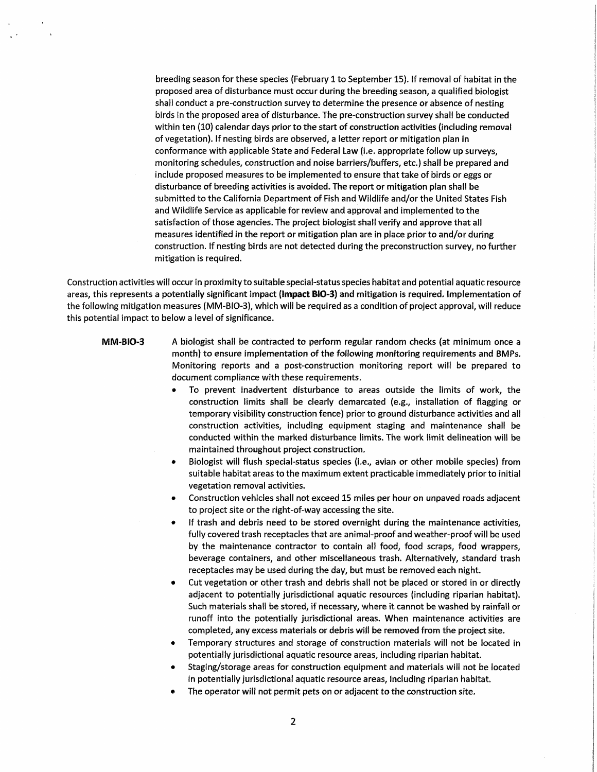breeding season for these species (February 1 to September 15). If removal of habitat in the proposed area of disturbance must occur during the breeding season, a qualified biologist shall conduct a pre-construction survey to determine the presence or absence of nesting birds in the proposed area of disturbance. The pre-construction survey shall be conducted within ten (10) calendar days prior to the start of construction activities (including removal of vegetation). If nesting birds are observed, a letter report or mitigation plan in conformance with applicable State and Federal Law (i.e. appropriate follow up surveys, monitoring schedules, construction and noise barriers/buffers, etc.) shall be prepared and include proposed measures to be implemented to ensure that take of birds or eggs or disturbance of breeding activities is avoided. The report or mitigation plan shall be submitted to the California Department of Fish and Wildlife and/or the United States Fish and Wildlife Service as applicable for review and approval and implemented to the satisfaction of those agencies. The project biologist shall verify and approve that all measures identified in the report or mitigation plan are in place prior to and/or during construction. If nesting birds are not detected during the preconstruction survey, no further mitigation is required.

Construction activities will occur in proximity to suitable special-status species habitat and potential aquatic resource areas, this represents a potentially significant impact **(Impact B10-3)** and mitigation is required. Implementation of the following mitigation measures (MM-B1O~3), which will be required as a condition of project approval, will reduce this potential impact to below a level of significance.

- **MM-BI0-3** A biologist shall be contracted to perform regular random checks (at minimum once a month) to ensure implementation of the following monitoring requirements and BMPs. Monitoring reports and a post-construction monitoring report will be prepared to document compliance with these requirements.
	- To prevent inadvertent disturbance to areas outside the limits of work, the construction limits shall be clearly demarcated (e.g., installation of flagging or temporary visibility construction fence) prior to ground disturbance activities and all construction activities, including equipment staging and maintenance shall be conducted within the marked disturbance limits. The work limit delineation will be maintained throughout project construction.
	- Biologist will flush special-status species (i.e., avian or other mobile species) from suitable habitat areas to the maximum extent practicable immediately prior to initial vegetation removal activities.
	- Construction vehicles shall not exceed 15 miles per hour on unpaved roads adjacent to project site or the right-of-way accessing the site.
	- If trash and debris need to be stored overnight during the maintenance activities, fully covered trash receptacles that are animal~proof and weather-proof will be used by the maintenance contractor to contain all food, food scraps, food wrappers, beverage containers, and other miscellaneous trash. Alternatively, standard trash receptacles may be used during the day, but must be removed each night.
	- Cut vegetation or other trash and debris shall not be placed or stored in or directly adjacent to potentially jurisdictional aquatic resources (including riparian habitat). Such materials shall be stored, if necessary, where it cannot be washed by rainfall or runoff into the potentially jurisdictional areas. When maintenance activities are completed, any excess materials or debris wiU be removed from the project site.
	- Temporary structures and storage of construction materials will not be located in potentially jurisdictional aquatic resource areas, including riparian habitat.
	- Staging/storage areas for construction equipment and materials will not be located in potentially jurisdictional aquatic resource areas, including riparian habitat.
	- The operator will not permit pets on or adjacent to the construction site.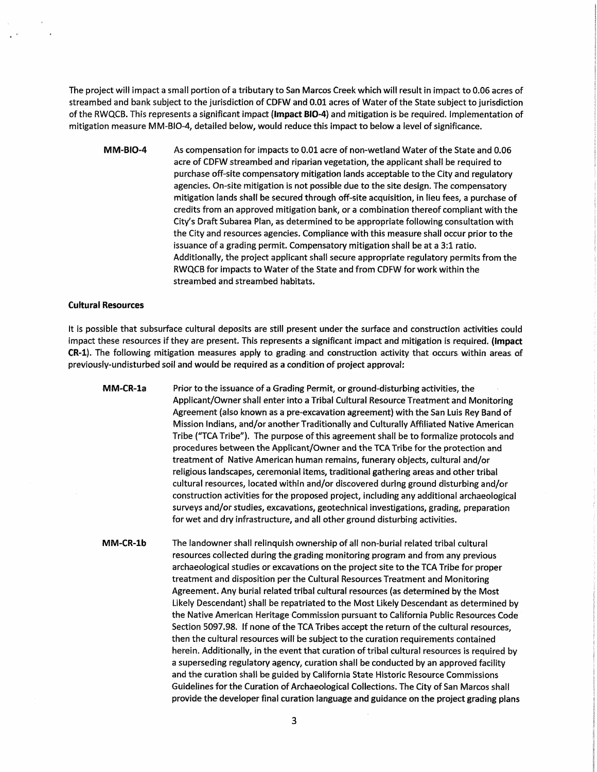The project will impact a small portion of a tributary to San Marcos Creek which will result in impact to 0.06 acres of stream bed and bank subject to the jurisdiction of CDFW and 0.01 acres of Water of the State subject to jurisdiction of the RWQCB. This represents a significant impact **(Impact 810-4}** and mitigation is be required. Implementation of mitigation measure MM-B1O-4, detailed below, would reduce this impact to below a level of significance.

**MM-B10-4**  As compensation for impacts to 0.01 acre of non-wetland Water of the State and 0.06 acre of CDFW streambed and riparian vegetation, the applicant shall be required to purchase off-site compensatory mitigation lands acceptable to the City and regulatory agencies. On-site mitigation is not possible due to the site design. The compensatory mitigation lands shall be secured through off-site acquisition, in lieu fees, a purchase of credits from an approved mitigation bank, or a combination thereof compliant with the City's Draft Subarea Plan, as determined to be appropriate following consultation with the City and resources agencies. Compliance with this measure shall occur prior to the issuance of a grading permit. Compensatory mitigation shall be at a 3:1 ratio. Additionally, the project applicant shall secure appropriate regulatory permits from the RWQCB for impacts to Water of the State and from CDFW for work within the streambed and streambed habitats.

## **Cultural Resources**

It is possible that subsurface cultural deposits are still present under the surface and construction activities could impact these resources if they are present. This represents a significant impact and mitigation is required. **(Impact CR-1).** The following mitigation measures apply to grading and construction activity that occurs within areas of previously-undisturbed soil and would be required as a condition of project approval:

**MM-CR-la**  Prior to the issuance of a Grading Permit, or ground-disturbing activities, the Applicant/Owner shall enter into a Tribal Cultural Resource Treatment and Monitoring Agreement (also known as a pre-excavation agreement) with the San Luis Rey Band of Mission Indians, and/or another Traditionally and Culturally Affiliated Native American Tribe ("TCA Tribe"). The purpose of this agreement shall be to formalize protocols and procedures between the Applicant/Owner and the TCA Tribe for the protection and treatment of Native American human remains, funerary objects, cultural and/or religious landscapes, ceremonial items, traditional gathering areas and other tribal cultural resources, located within and/or discovered during ground disturbing and/or construction activities for the proposed project, including any additional archaeological surveys and/or studies, excavations, geotechnical investigations, grading, preparation for wet and dry infrastructure, and all other ground disturbing activities.

**MM-CR-lb**  The landowner shall relinquish ownership of all non-burial related tribal cultural resources collected during the grading monitoring program and from any previous archaeological studies or excavations on the project site to the TCA Tribe for proper treatment and disposition per the Cultural Resources Treatment and Monitoring Agreement. Any burial related tribal cultural resources (as determined by the Most Likely Descendant} shall be repatriated to the Most likely Descendant as determined by the Native American Heritage Commission pursuant to California Public Resources Code Section 5097.98. If none of the TCA Tribes accept the return of the cultural resources, then the cultural resources will be subject to the curation requirements contained herein. Additionally, in the event that curation of tribal cultural resources is required by a superseding regulatory agency, curation shall be conducted by an approved facility and the curation shall be guided by California State Historic Resource Commissions Guidelines for the Curation of Archaeological Collections. The City of San Marcos shall provide the developer final curation language and guidance on the project grading plans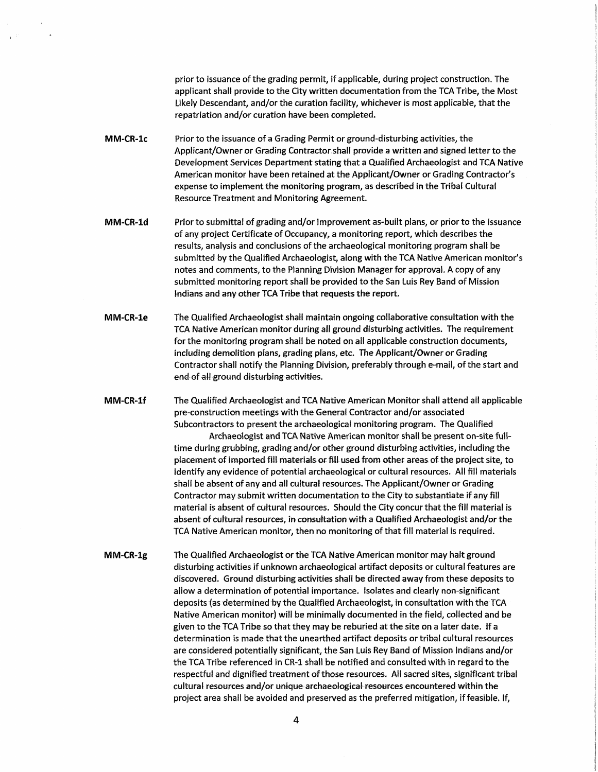prior to issuance of the grading permit, if applicable, during project construction. The applicant shall provide to the City written documentation from the TCA Tribe, the Most Likely Descendant, and/or the curation facility, whichever is most applicable, that the repatriation and/or curation have been completed.

- **MM-CR-le**  Prior to the issuance of a Grading Permit or ground-disturbing activities, the Applicant/Owner or Grading Contractor shall provide a written and signed letter to the Development Services Department stating that a Qualified Archaeologist and TCA Native American monitor have been retained at the Applicant/Owner or Grading Contractor's expense to implement the monitoring program, as described in the Tribal Cultural Resource Treatment and Monitoring Agreement.
- **MM-CR-ld**  Prior to submittal of grading and/or improvement as-built plans; or prior to the issuance of any project Certificate of Occupancy, a monitoring report, which describes the results, analysis and conclusions of the archaeological monitoring program shall be submitted by the Qualified Archaeologist, along with the TCA Native American monitor's notes and comments, to the Planning Division Manager for approval. A copy of any submitted monitoring report shall be provided to the San Luis Rey Band of Mission Indians and any other TCA Tribe that requests the report.
- **MM-CR-le**  The Qualified Archaeologist shall maintain ongoing collaborative consultation with the TCA Native American monitor during all ground disturbing activities. The requirement for the monitoring program shall be noted on all applicable construction documents, including demolition plans, grading plans, etc. The Applicant/Owner or Grading Contractor shall notify the Planning Division, preferably through e-mail, of the start and end of all ground disturbing activities.
- **MM-CR-lf**  The Qualified Archaeologist and TCA Native American Monitor shall attend all applicable pre-construction meetings with the General Contractor and/or associated Subcontractors to present the archaeological monitoring program. The Qualified

Archaeologist and TCA Native American monitor shall be present on-site fulltime during grubbing, grading and/or other ground disturbing activities, including the placement of imported fill materials or fill used from other areas of the project site, to identify any evidence of potential archaeological or cultural resources. All fill materials shall be absent of any and all cultural resources. The Applicant/Owner or Grading Contractor may submit written documentation to the City to substantiate if any fill material is absent of cultural resources. Should the City concur that the fill material is absent of cultural resources, in consultation with a Qualified Archaeologist and/or the TCA Native American monitor, then no monitoring of that fill material is required.

**MM-CR-1g**  The Qualified Archaeologist or the TCA Native American monitor may halt ground disturbing activities if unknown archaeological artifact deposits or cultural features are discovered. Ground disturbing activities shall be directed away from these deposits to allow a determination of potential importance. Isolates and clearly non-significant deposits (as determined by the Qualified Archaeologist, in consultation with the TCA Native American monitor) will be minimally documented in the field, collected and be given to the TCA Tribe so that they may be reburied at the site on a later date. If a determination is made that the unearthed artifact deposits or tribal cultural resources are considered potentially significant, the San Luis Rey Band of Mission Indians and/or the TCA Tribe referenced in CR-1 shall be notified and consulted with in regard to the respectful and dignified treatment of those resources. All sacred sites, significant tribal cultural resources and/or unique archaeological resources encountered within the project area shall be avoided and preserved as the preferred mitigation, if feasible. If,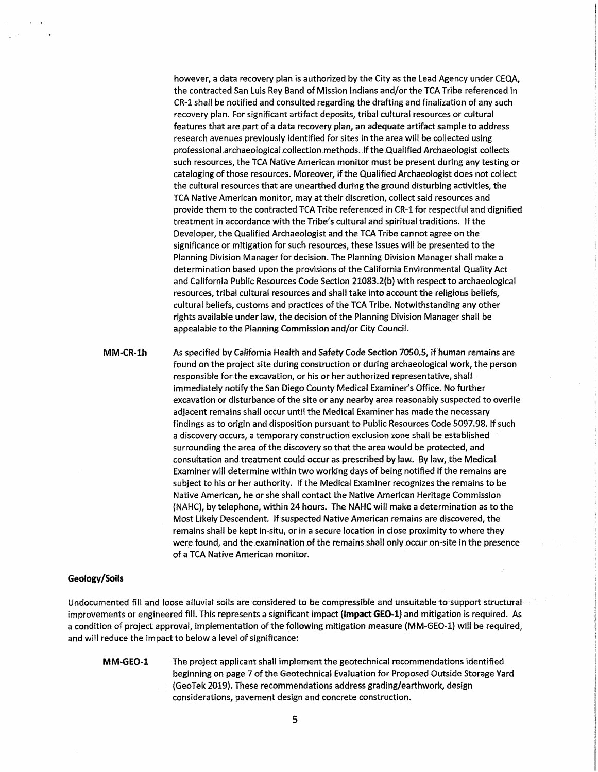however, a data recovery plan is authorized by the City as the Lead Agency under CEQA, the contracted San Luis Rey Band of Mission Indians and/or the TCA Tribe referenced in CR-1 shall be notified and consulted regarding the drafting and finalization of any such recovery plan. For significant artifact deposits, tribal cultural resources or cultural features that are part of a data recovery plan, an adequate artifact sample to address research avenues previously identified for sites in the area will be collected using professional archaeological collection methods. If the Qualified Archaeologist collects such resources, the TCA Native American monitor must be present during any testing or cataloging of those resources. Moreover, if the Qualified Archaeologist does not collect the cultural resources that are unearthed during the ground disturbing activities, the TCA Native American monitor, may at their discretion, collect said resources and provide them to the contracted TCA Tribe referenced in CR-1 for respectful and dignified treatment in accordance with the Tribe's cultural and spiritual traditions. If the Developer, the Qualified Archaeologist and the TCA Tribe cannot agree on the significance or mitigation for such resources, these issues will be presented to the Planning Division Manager for decision. The Planning Division Manager shall make a determination based upon the provisions of the California Environmental Quality Act and California Public Resources Code Section 21083.2(b) with respect to archaeological resources, tribal cultural resources and shall take into account the religious beliefs, cultural beliefs, customs and practices of the TCA Tribe. Notwithstanding any other rights available under law, the decision of the Planning Division Manager shall be appealable to the Planning Commission and/or City Council.

**MM-CR-lh**  As specified by California Health and Safety Code Section 7050.5, if human remains are found on the project site during construction or during archaeological work, the person responsible for the excavation, or his or her authorized representative, shall immediately notify the San Diego County Medical Examiner's Office. No further excavation or disturbance of the site or any nearby area reasonably suspected to overlie adjacent remains shall occur until the Medical Examiner has made the necessary findings as to origin and disposition pursuant to Public Resources Code 5097.98. If such a discovery occurs, a temporary construction exclusion zone shall be established surrounding the area of the discovery so that the area would be protected, and consultation and treatment could occur as prescribed by law. By law, the Medical Examiner will determine within two working days of being notified if the remains are subject to his or her authority. If the Medical Examiner recognizes the remains to be Native American, he or she shall contact the Native American Heritage Commission (NAHC), by telephone, within 24 hours. The NAHC will make a determination as to the Most Likely Descendent. If suspected Native American remains are discovered, the remains shall be kept in-situ, or in a secure location in close proximity to where they were found, and the examination of the remains shall only occur on-site in the presence of a TCA Native American monitor.

### **Geology /Soils**

Undocumented fill and loose alluvial soils are considered to be compressible and unsuitable to support structural improvements or engineered fill. This represents a significant impact **(Impact GE0-1)** and mitigation is required. As a condition of project approval, implementation of the following mitigation measure (MM-GE0-1) will be required, and will reduce the impact to below a level of significance:

**MM-GE0-1** The project applicant shall implement the geotechnical recommendations identified beginning on page 7 of the Geotechnical Evaluation for Proposed Outside Storage Yard {GeoTel< 2019). These recommendations address grading/earthwork, design considerations, pavement design and concrete construction.